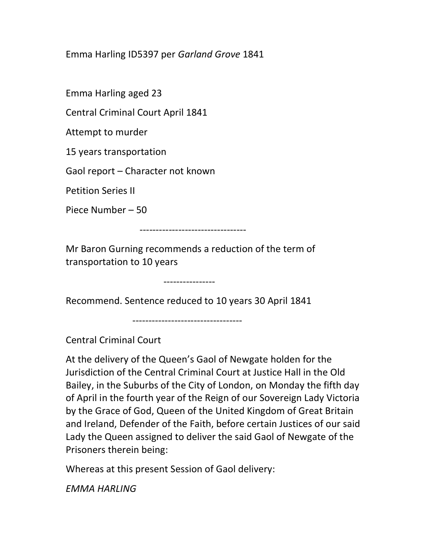Emma Harling ID5397 per Garland Grove 1841

Emma Harling aged 23

Central Criminal Court April 1841

Attempt to murder

15 years transportation

Gaol report – Character not known

Petition Series II

Piece Number – 50

---------------------------------

Mr Baron Gurning recommends a reduction of the term of transportation to 10 years

Recommend. Sentence reduced to 10 years 30 April 1841

----------------

----------------------------------

Central Criminal Court

At the delivery of the Queen's Gaol of Newgate holden for the Jurisdiction of the Central Criminal Court at Justice Hall in the Old Bailey, in the Suburbs of the City of London, on Monday the fifth day of April in the fourth year of the Reign of our Sovereign Lady Victoria by the Grace of God, Queen of the United Kingdom of Great Britain and Ireland, Defender of the Faith, before certain Justices of our said Lady the Queen assigned to deliver the said Gaol of Newgate of the Prisoners therein being:

Whereas at this present Session of Gaol delivery:

EMMA HARLING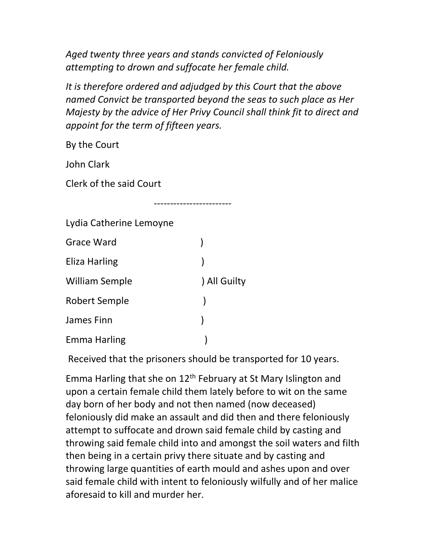Aged twenty three years and stands convicted of Feloniously attempting to drown and suffocate her female child.

------------------------

It is therefore ordered and adjudged by this Court that the above named Convict be transported beyond the seas to such place as Her Majesty by the advice of Her Privy Council shall think fit to direct and appoint for the term of fifteen years.

By the Court

John Clark

Clerk of the said Court

| Lydia Catherine Lemoyne |            |
|-------------------------|------------|
| Grace Ward              |            |
| Eliza Harling           |            |
| <b>William Semple</b>   | All Guilty |
| <b>Robert Semple</b>    |            |
| James Finn              |            |
| <b>Emma Harling</b>     |            |

Received that the prisoners should be transported for 10 years.

Emma Harling that she on 12th February at St Mary Islington and upon a certain female child them lately before to wit on the same day born of her body and not then named (now deceased) feloniously did make an assault and did then and there feloniously attempt to suffocate and drown said female child by casting and throwing said female child into and amongst the soil waters and filth then being in a certain privy there situate and by casting and throwing large quantities of earth mould and ashes upon and over said female child with intent to feloniously wilfully and of her malice aforesaid to kill and murder her.